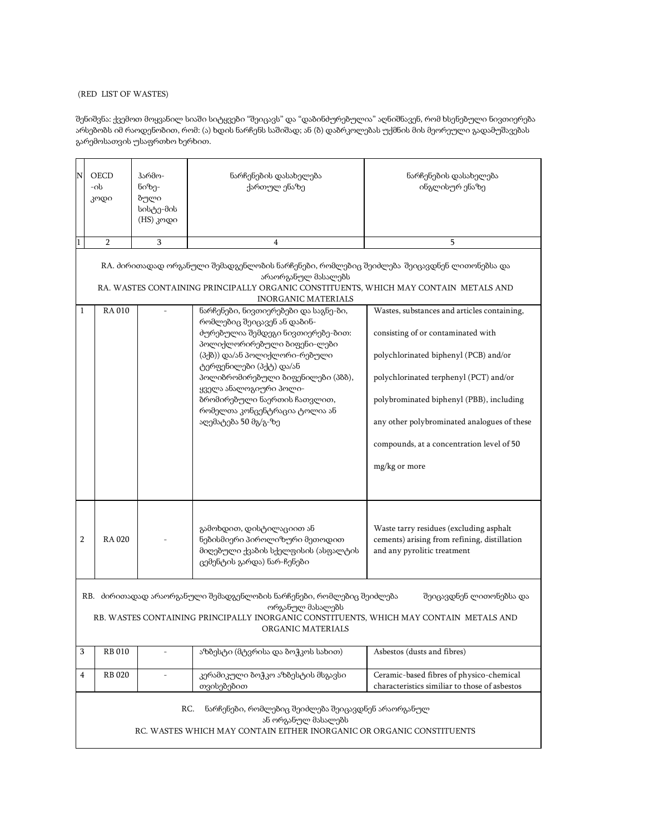## (RED LIST OF WASTES)

შენიშვნა: ქვემოთ მოყვანილ სიაში სიტყვები "შეიცავს" და "დაბინძურებულია" აღნიშნავენ, რომ ხსენებული ნივთიერება არსებობს იმ რაოდენობით, რომ: (ა) ხდის ნარჩენს საშიშად; ან (ბ) დაბრკოლებას უქმნის მის მეორეული გადამუშავებას გარემოსათვის უსაფრთხო ხერხით.

| N                                                                                                                                                                                                                                                                                                                                                  | OECD<br>-ob<br>კოდი                                                                                                                                       | ჰარმო-<br>ნიზე-<br>ბული<br>სისტე-მის<br>(HS) კოდი | ნარჩენების დასახელება<br>ქართულ ენაზე                                                                                                                                                                                                                                                                               | ნარჩენების დასახელება<br>ინგლისურ ენაზე                                                                                                                                                                                                                                        |  |  |  |
|----------------------------------------------------------------------------------------------------------------------------------------------------------------------------------------------------------------------------------------------------------------------------------------------------------------------------------------------------|-----------------------------------------------------------------------------------------------------------------------------------------------------------|---------------------------------------------------|---------------------------------------------------------------------------------------------------------------------------------------------------------------------------------------------------------------------------------------------------------------------------------------------------------------------|--------------------------------------------------------------------------------------------------------------------------------------------------------------------------------------------------------------------------------------------------------------------------------|--|--|--|
| $\mathbf{1}$                                                                                                                                                                                                                                                                                                                                       | $\overline{2}$                                                                                                                                            | 3                                                 | $\overline{4}$                                                                                                                                                                                                                                                                                                      | 5                                                                                                                                                                                                                                                                              |  |  |  |
| RA. ძირითადად ორგანული შემადგენლობის ნარჩენები, რომლებიც შეიძლება შეიცავდნენ ლითონებსა და<br>არაორგანულ მასალებს<br>RA. WASTES CONTAINING PRINCIPALLY ORGANIC CONSTITUENTS, WHICH MAY CONTAIN METALS AND<br><b>INORGANIC MATERIALS</b><br><b>RA010</b><br>ნარჩენები, ნივთიერებები და საგნე-ბი,<br>Wastes, substances and articles containing,<br>1 |                                                                                                                                                           |                                                   |                                                                                                                                                                                                                                                                                                                     |                                                                                                                                                                                                                                                                                |  |  |  |
|                                                                                                                                                                                                                                                                                                                                                    |                                                                                                                                                           |                                                   | რომლებიც შეიცავენ ან დაბინ-<br>ძურებულია შემდეგი ნივთიერებე-ბით:<br>პოლიქლორირებული ბიფენი-ლები<br>(პქბ)) და/ან პოლიქლორი-რებული<br>ტერფენილები (პქტ) და/ან<br>პოლიბრომირებული ბიფენილები (პბბ),<br>ყველა ანალოგიური პოლი-<br>ბრომირებული ნაერთის ჩათვლით,<br>რომელთა კონცენტრაცია ტოლია ან<br>აღემატება 50 მგ/გ-ზე | consisting of or contaminated with<br>polychlorinated biphenyl (PCB) and/or<br>polychlorinated terphenyl (PCT) and/or<br>polybrominated biphenyl (PBB), including<br>any other polybrominated analogues of these<br>compounds, at a concentration level of 50<br>mg/kg or more |  |  |  |
| 2                                                                                                                                                                                                                                                                                                                                                  | <b>RA020</b>                                                                                                                                              |                                                   | გამოხდით, დისტილაციით ან<br>ნებისმიერი პიროლიზური მეთოდით<br>მიღებული ქვაბის სქელფისის (ასფალტის<br>ცემენტის გარდა) ნარ-ჩენები                                                                                                                                                                                      | Waste tarry residues (excluding asphalt<br>cements) arising from refining, distillation<br>and any pyrolitic treatment                                                                                                                                                         |  |  |  |
| RB. მირითადად არაორგანული შემადგენლობის ნარჩენები, რომლებიც შეიძლება<br>შეიცავდნენ ლითონებსა და<br>ორგანულ მასალებს<br>RB. WASTES CONTAINING PRINCIPALLY INORGANIC CONSTITUENTS, WHICH MAY CONTAIN METALS AND<br>ORGANIC MATERIALS                                                                                                                 |                                                                                                                                                           |                                                   |                                                                                                                                                                                                                                                                                                                     |                                                                                                                                                                                                                                                                                |  |  |  |
| 3                                                                                                                                                                                                                                                                                                                                                  | <b>RB010</b>                                                                                                                                              |                                                   | აზბესტი (მტვრისა და ბოჭკოს სახით)                                                                                                                                                                                                                                                                                   | Asbestos (dusts and fibres)                                                                                                                                                                                                                                                    |  |  |  |
| 4                                                                                                                                                                                                                                                                                                                                                  | <b>RB 020</b>                                                                                                                                             | $\qquad \qquad \blacksquare$                      | კერამიკული ბოჭკო აზბესტის მსგავსი<br>თვისებებით                                                                                                                                                                                                                                                                     | Ceramic-based fibres of physico-chemical<br>characteristics similiar to those of asbestos                                                                                                                                                                                      |  |  |  |
|                                                                                                                                                                                                                                                                                                                                                    | RC.<br>ნარჩენები, რომლებიც შეიძლება შეიცავდნენ არაორგანულ<br>ან ორგანულ მასალებს<br>RC. WASTES WHICH MAY CONTAIN EITHER INORGANIC OR ORGANIC CONSTITUENTS |                                                   |                                                                                                                                                                                                                                                                                                                     |                                                                                                                                                                                                                                                                                |  |  |  |